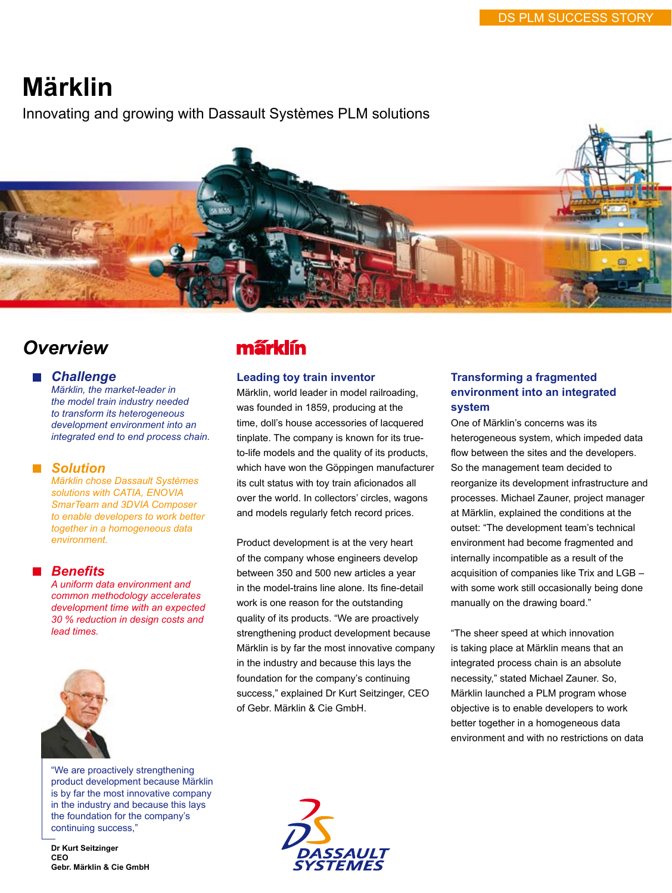# **Märklin**

Innovating and growing with Dassault Systèmes PLM solutions



# *Overview*

### *Challenge*

*Märklin, the market-leader in the model train industry needed to transform its heterogeneous development environment into an integrated end to end process chain.* 

### *Solution*

*Märklin chose Dassault Systèmes solutions with CATIA, ENOVIA SmarTeam and 3DVIA Composer to enable developers to work better together in a homogeneous data environment.*

### *Benefits*

*A uniform data environment and common methodology accelerates development time with an expected 30 % reduction in design costs and lead times.*



"We are proactively strengthening product development because Märklin is by far the most innovative company in the industry and because this lays the foundation for the company's continuing success,"

**Dr Kurt Seitzinger CEO Gebr. Märklin & Cie GmbH**

# márklín

#### **Leading toy train inventor**

Märklin, world leader in model railroading, was founded in 1859, producing at the time, doll's house accessories of lacquered tinplate. The company is known for its trueto-life models and the quality of its products, which have won the Göppingen manufacturer its cult status with toy train aficionados all over the world. In collectors' circles, wagons and models regularly fetch record prices.

Product development is at the very heart of the company whose engineers develop between 350 and 500 new articles a year in the model-trains line alone. Its fine-detail work is one reason for the outstanding quality of its products. "We are proactively strengthening product development because Märklin is by far the most innovative company in the industry and because this lays the foundation for the company's continuing success," explained Dr Kurt Seitzinger, CEO of Gebr. Märklin & Cie GmbH.

# **Transforming a fragmented environment into an integrated system**

One of Märklin's concerns was its heterogeneous system, which impeded data flow between the sites and the developers. So the management team decided to reorganize its development infrastructure and processes. Michael Zauner, project manager at Märklin, explained the conditions at the outset: "The development team's technical environment had become fragmented and internally incompatible as a result of the acquisition of companies like Trix and LGB – with some work still occasionally being done manually on the drawing board."

"The sheer speed at which innovation is taking place at Märklin means that an integrated process chain is an absolute necessity," stated Michael Zauner. So, Märklin launched a PLM program whose objective is to enable developers to work better together in a homogeneous data environment and with no restrictions on data